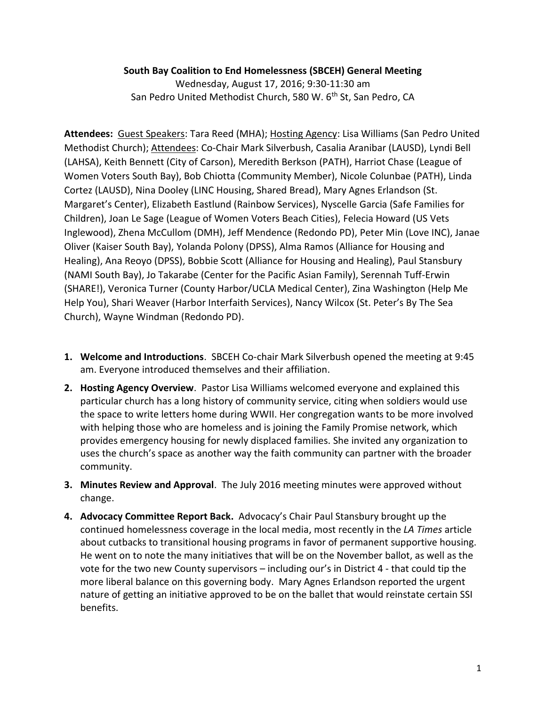## **South Bay Coalition to End Homelessness (SBCEH) General Meeting**

Wednesday, August 17, 2016; 9:30-11:30 am San Pedro United Methodist Church, 580 W. 6<sup>th</sup> St, San Pedro, CA

**Attendees:** Guest Speakers: Tara Reed (MHA); Hosting Agency: Lisa Williams (San Pedro United Methodist Church); Attendees: Co-Chair Mark Silverbush, Casalia Aranibar (LAUSD), Lyndi Bell (LAHSA), Keith Bennett (City of Carson), Meredith Berkson (PATH), Harriot Chase (League of Women Voters South Bay), Bob Chiotta (Community Member), Nicole Colunbae (PATH), Linda Cortez (LAUSD), Nina Dooley (LINC Housing, Shared Bread), Mary Agnes Erlandson (St. Margaret's Center), Elizabeth Eastlund (Rainbow Services), Nyscelle Garcia (Safe Families for Children), Joan Le Sage (League of Women Voters Beach Cities), Felecia Howard (US Vets Inglewood), Zhena McCullom (DMH), Jeff Mendence (Redondo PD), Peter Min (Love INC), Janae Oliver (Kaiser South Bay), Yolanda Polony (DPSS), Alma Ramos (Alliance for Housing and Healing), Ana Reoyo (DPSS), Bobbie Scott (Alliance for Housing and Healing), Paul Stansbury (NAMI South Bay), Jo Takarabe (Center for the Pacific Asian Family), Serennah Tuff-Erwin (SHARE!), Veronica Turner (County Harbor/UCLA Medical Center), Zina Washington (Help Me Help You), Shari Weaver (Harbor Interfaith Services), Nancy Wilcox (St. Peter's By The Sea Church), Wayne Windman (Redondo PD).

- **1. Welcome and Introductions**. SBCEH Co-chair Mark Silverbush opened the meeting at 9:45 am. Everyone introduced themselves and their affiliation.
- **2. Hosting Agency Overview**. Pastor Lisa Williams welcomed everyone and explained this particular church has a long history of community service, citing when soldiers would use the space to write letters home during WWII. Her congregation wants to be more involved with helping those who are homeless and is joining the Family Promise network, which provides emergency housing for newly displaced families. She invited any organization to uses the church's space as another way the faith community can partner with the broader community.
- **3. Minutes Review and Approval**. The July 2016 meeting minutes were approved without change.
- **4. Advocacy Committee Report Back.** Advocacy's Chair Paul Stansbury brought up the continued homelessness coverage in the local media, most recently in the *LA Times* article about cutbacks to transitional housing programs in favor of permanent supportive housing. He went on to note the many initiatives that will be on the November ballot, as well as the vote for the two new County supervisors – including our's in District 4 - that could tip the more liberal balance on this governing body. Mary Agnes Erlandson reported the urgent nature of getting an initiative approved to be on the ballet that would reinstate certain SSI benefits.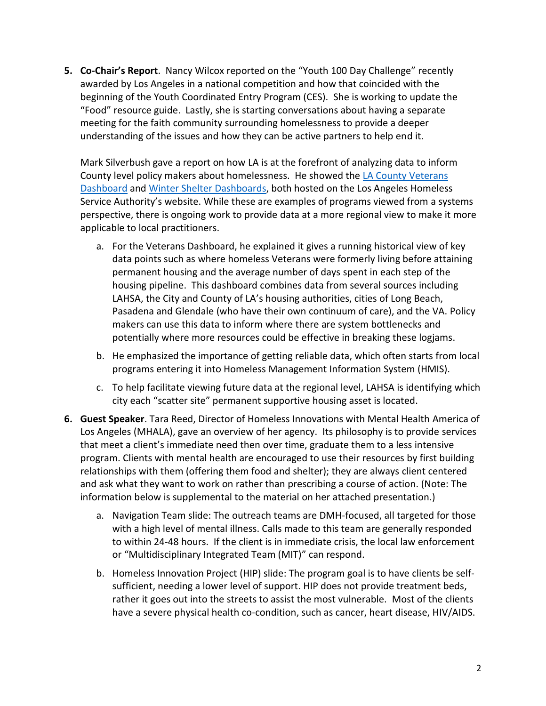**5. Co-Chair's Report**. Nancy Wilcox reported on the "Youth 100 Day Challenge" recently awarded by Los Angeles in a national competition and how that coincided with the beginning of the Youth Coordinated Entry Program (CES). She is working to update the "Food" resource guide. Lastly, she is starting conversations about having a separate meeting for the faith community surrounding homelessness to provide a deeper understanding of the issues and how they can be active partners to help end it.

Mark Silverbush gave a report on how LA is at the forefront of analyzing data to inform County level policy makers about homelessness. He showed th[e LA County Veterans](https://www.lahsa.org/veteran-dashboard)  [Dashboard](https://www.lahsa.org/veteran-dashboard) and [Winter Shelter](https://www.lahsa.org/ces/winter-shelter/occupancy-dashboard) Dashboards, both hosted on the Los Angeles Homeless Service Authority's website. While these are examples of programs viewed from a systems perspective, there is ongoing work to provide data at a more regional view to make it more applicable to local practitioners.

- a. For the Veterans Dashboard, he explained it gives a running historical view of key data points such as where homeless Veterans were formerly living before attaining permanent housing and the average number of days spent in each step of the housing pipeline. This dashboard combines data from several sources including LAHSA, the City and County of LA's housing authorities, cities of Long Beach, Pasadena and Glendale (who have their own continuum of care), and the VA. Policy makers can use this data to inform where there are system bottlenecks and potentially where more resources could be effective in breaking these logjams.
- b. He emphasized the importance of getting reliable data, which often starts from local programs entering it into Homeless Management Information System (HMIS).
- c. To help facilitate viewing future data at the regional level, LAHSA is identifying which city each "scatter site" permanent supportive housing asset is located.
- **6. Guest Speaker**. Tara Reed, Director of Homeless Innovations with Mental Health America of Los Angeles (MHALA), gave an overview of her agency. Its philosophy is to provide services that meet a client's immediate need then over time, graduate them to a less intensive program. Clients with mental health are encouraged to use their resources by first building relationships with them (offering them food and shelter); they are always client centered and ask what they want to work on rather than prescribing a course of action. (Note: The information below is supplemental to the material on her attached presentation.)
	- a. Navigation Team slide: The outreach teams are DMH-focused, all targeted for those with a high level of mental illness. Calls made to this team are generally responded to within 24-48 hours. If the client is in immediate crisis, the local law enforcement or "Multidisciplinary Integrated Team (MIT)" can respond.
	- b. Homeless Innovation Project (HIP) slide: The program goal is to have clients be selfsufficient, needing a lower level of support. HIP does not provide treatment beds, rather it goes out into the streets to assist the most vulnerable. Most of the clients have a severe physical health co-condition, such as cancer, heart disease, HIV/AIDS.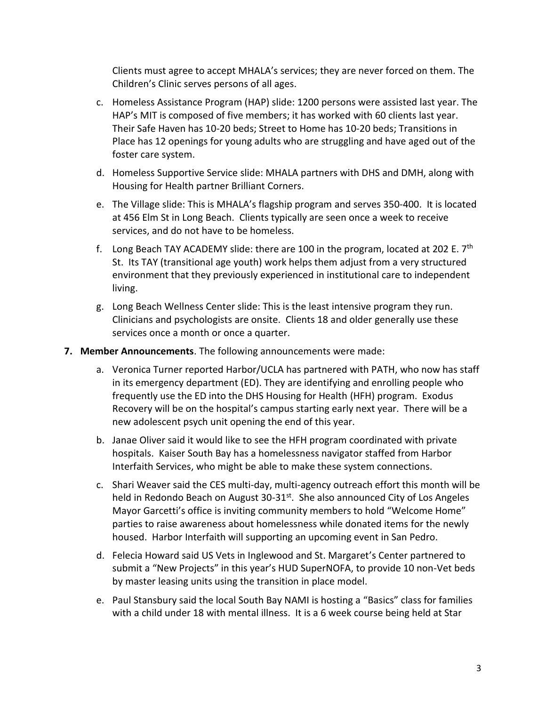Clients must agree to accept MHALA's services; they are never forced on them. The Children's Clinic serves persons of all ages.

- c. Homeless Assistance Program (HAP) slide: 1200 persons were assisted last year. The HAP's MIT is composed of five members; it has worked with 60 clients last year. Their Safe Haven has 10-20 beds; Street to Home has 10-20 beds; Transitions in Place has 12 openings for young adults who are struggling and have aged out of the foster care system.
- d. Homeless Supportive Service slide: MHALA partners with DHS and DMH, along with Housing for Health partner Brilliant Corners.
- e. The Village slide: This is MHALA's flagship program and serves 350-400. It is located at 456 Elm St in Long Beach. Clients typically are seen once a week to receive services, and do not have to be homeless.
- f. Long Beach TAY ACADEMY slide: there are 100 in the program, located at 202 E.  $7<sup>th</sup>$ St. Its TAY (transitional age youth) work helps them adjust from a very structured environment that they previously experienced in institutional care to independent living.
- g. Long Beach Wellness Center slide: This is the least intensive program they run. Clinicians and psychologists are onsite. Clients 18 and older generally use these services once a month or once a quarter.
- **7. Member Announcements**. The following announcements were made:
	- a. Veronica Turner reported Harbor/UCLA has partnered with PATH, who now has staff in its emergency department (ED). They are identifying and enrolling people who frequently use the ED into the DHS Housing for Health (HFH) program. Exodus Recovery will be on the hospital's campus starting early next year. There will be a new adolescent psych unit opening the end of this year.
	- b. Janae Oliver said it would like to see the HFH program coordinated with private hospitals. Kaiser South Bay has a homelessness navigator staffed from Harbor Interfaith Services, who might be able to make these system connections.
	- c. Shari Weaver said the CES multi-day, multi-agency outreach effort this month will be held in Redondo Beach on August 30-31<sup>st</sup>. She also announced City of Los Angeles Mayor Garcetti's office is inviting community members to hold "Welcome Home" parties to raise awareness about homelessness while donated items for the newly housed. Harbor Interfaith will supporting an upcoming event in San Pedro.
	- d. Felecia Howard said US Vets in Inglewood and St. Margaret's Center partnered to submit a "New Projects" in this year's HUD SuperNOFA, to provide 10 non-Vet beds by master leasing units using the transition in place model.
	- e. Paul Stansbury said the local South Bay NAMI is hosting a "Basics" class for families with a child under 18 with mental illness. It is a 6 week course being held at Star